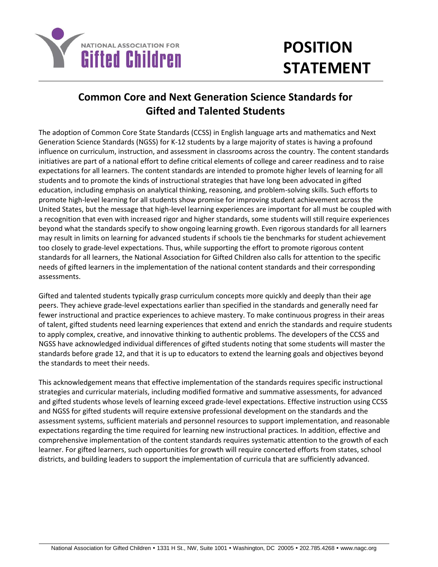

## **POSITION STATEMENT**

## **Common Core and Next Generation Science Standards for Gifted and Talented Students**

The adoption of Common Core State Standards (CCSS) in English language arts and mathematics and Next Generation Science Standards (NGSS) for K-12 students by a large majority of states is having a profound influence on curriculum, instruction, and assessment in classrooms across the country. The content standards initiatives are part of a national effort to define critical elements of college and career readiness and to raise expectations for all learners. The content standards are intended to promote higher levels of learning for all students and to promote the kinds of instructional strategies that have long been advocated in gifted education, including emphasis on analytical thinking, reasoning, and problem-solving skills. Such efforts to promote high-level learning for all students show promise for improving student achievement across the United States, but the message that high-level learning experiences are important for all must be coupled with a recognition that even with increased rigor and higher standards, some students will still require experiences beyond what the standards specify to show ongoing learning growth. Even rigorous standards for all learners may result in limits on learning for advanced students if schools tie the benchmarks for student achievement too closely to grade-level expectations. Thus, while supporting the effort to promote rigorous content standards for all learners, the National Association for Gifted Children also calls for attention to the specific needs of gifted learners in the implementation of the national content standards and their corresponding assessments.

Gifted and talented students typically grasp curriculum concepts more quickly and deeply than their age peers. They achieve grade-level expectations earlier than specified in the standards and generally need far fewer instructional and practice experiences to achieve mastery. To make continuous progress in their areas of talent, gifted students need learning experiences that extend and enrich the standards and require students to apply complex, creative, and innovative thinking to authentic problems. The developers of the CCSS and NGSS have acknowledged individual differences of gifted students noting that some students will master the standards before grade 12, and that it is up to educators to extend the learning goals and objectives beyond the standards to meet their needs.

This acknowledgement means that effective implementation of the standards requires specific instructional strategies and curricular materials, including modified formative and summative assessments, for advanced and gifted students whose levels of learning exceed grade-level expectations. Effective instruction using CCSS and NGSS for gifted students will require extensive professional development on the standards and the assessment systems, sufficient materials and personnel resources to support implementation, and reasonable expectations regarding the time required for learning new instructional practices. In addition, effective and comprehensive implementation of the content standards requires systematic attention to the growth of each learner. For gifted learners, such opportunities for growth will require concerted efforts from states, school districts, and building leaders to support the implementation of curricula that are sufficiently advanced.